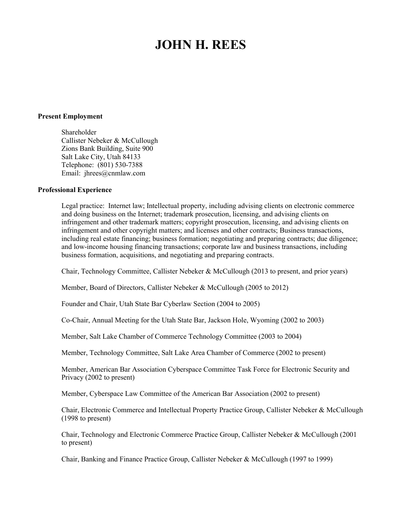# **JOHN H. REES**

#### **Present Employment**

Shareholder Callister Nebeker & McCullough Zions Bank Building, Suite 900 Salt Lake City, Utah 84133 Telephone: (801) 530-7388 Email: jhrees@cnmlaw.com

#### **Professional Experience**

Legal practice: Internet law; Intellectual property, including advising clients on electronic commerce and doing business on the Internet; trademark prosecution, licensing, and advising clients on infringement and other trademark matters; copyright prosecution, licensing, and advising clients on infringement and other copyright matters; and licenses and other contracts; Business transactions, including real estate financing; business formation; negotiating and preparing contracts; due diligence; and low-income housing financing transactions; corporate law and business transactions, including business formation, acquisitions, and negotiating and preparing contracts.

Chair, Technology Committee, Callister Nebeker & McCullough (2013 to present, and prior years)

Member, Board of Directors, Callister Nebeker & McCullough (2005 to 2012)

Founder and Chair, Utah State Bar Cyberlaw Section (2004 to 2005)

Co-Chair, Annual Meeting for the Utah State Bar, Jackson Hole, Wyoming (2002 to 2003)

Member, Salt Lake Chamber of Commerce Technology Committee (2003 to 2004)

Member, Technology Committee, Salt Lake Area Chamber of Commerce (2002 to present)

Member, American Bar Association Cyberspace Committee Task Force for Electronic Security and Privacy (2002 to present)

Member, Cyberspace Law Committee of the American Bar Association (2002 to present)

Chair, Electronic Commerce and Intellectual Property Practice Group, Callister Nebeker & McCullough (1998 to present)

Chair, Technology and Electronic Commerce Practice Group, Callister Nebeker & McCullough (2001 to present)

Chair, Banking and Finance Practice Group, Callister Nebeker & McCullough (1997 to 1999)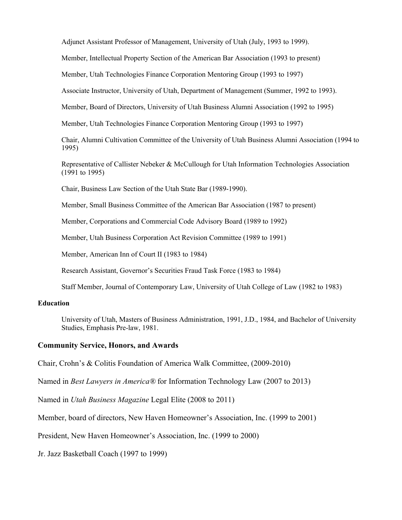Adjunct Assistant Professor of Management, University of Utah (July, 1993 to 1999).

Member, Intellectual Property Section of the American Bar Association (1993 to present)

Member, Utah Technologies Finance Corporation Mentoring Group (1993 to 1997)

Associate Instructor, University of Utah, Department of Management (Summer, 1992 to 1993).

Member, Board of Directors, University of Utah Business Alumni Association (1992 to 1995)

Member, Utah Technologies Finance Corporation Mentoring Group (1993 to 1997)

Chair, Alumni Cultivation Committee of the University of Utah Business Alumni Association (1994 to 1995)

Representative of Callister Nebeker & McCullough for Utah Information Technologies Association (1991 to 1995)

Chair, Business Law Section of the Utah State Bar (1989-1990).

Member, Small Business Committee of the American Bar Association (1987 to present)

Member, Corporations and Commercial Code Advisory Board (1989 to 1992)

Member, Utah Business Corporation Act Revision Committee (1989 to 1991)

Member, American Inn of Court II (1983 to 1984)

Research Assistant, Governor's Securities Fraud Task Force (1983 to 1984)

Staff Member, Journal of Contemporary Law, University of Utah College of Law (1982 to 1983)

## **Education**

University of Utah, Masters of Business Administration, 1991, J.D., 1984, and Bachelor of University Studies, Emphasis Pre-law, 1981.

#### **Community Service, Honors, and Awards**

Chair, Crohn's & Colitis Foundation of America Walk Committee, (2009-2010)

Named in *Best Lawyers in America®* for Information Technology Law (2007 to 2013)

Named in *Utah Business Magazine* Legal Elite (2008 to 2011)

Member, board of directors, New Haven Homeowner's Association, Inc. (1999 to 2001)

President, New Haven Homeowner's Association, Inc. (1999 to 2000)

Jr. Jazz Basketball Coach (1997 to 1999)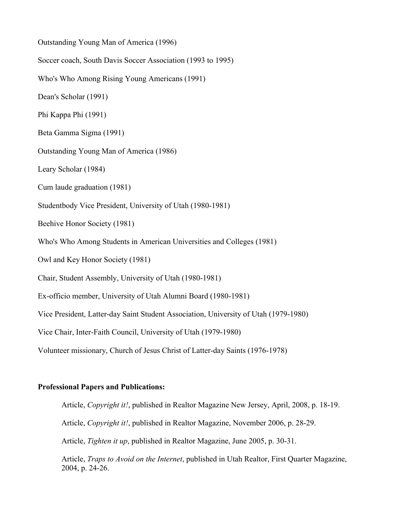Outstanding Young Man of America (1996) Soccer coach, South Davis Soccer Association (1993 to 1995) Who's Who Among Rising Young Americans (1991) Dean's Scholar (1991) Phi Kappa Phi (1991) Beta Gamma Sigma (1991) Outstanding Young Man of America (1986) Leary Scholar (1984) Cum laude graduation (1981) Studentbody Vice President, University of Utah (1980-1981) Beehive Honor Society (1981) Who's Who Among Students in American Universities and Colleges (1981) Owl and Key Honor Society (1981) Chair, Student Assembly, University of Utah (1980-1981) Ex-officio member, University of Utah Alumni Board (1980-1981) Vice President, Latter-day Saint Student Association, University of Utah (1979-1980) Vice Chair, Inter-Faith Council, University of Utah (1979-1980) Volunteer missionary, Church of Jesus Christ of Latter-day Saints (1976-1978)

## **Professional Papers and Publications:**

Article, *Copyright it!*, published in Realtor Magazine New Jersey, April, 2008, p. 18-19.

Article, *Copyright it!*, published in Realtor Magazine, November 2006, p. 28-29.

Article, *Tighten it up*, published in Realtor Magazine, June 2005, p. 30-31.

Article, *Traps to Avoid on the Internet*, published in Utah Realtor, First Quarter Magazine, 2004, p. 24-26.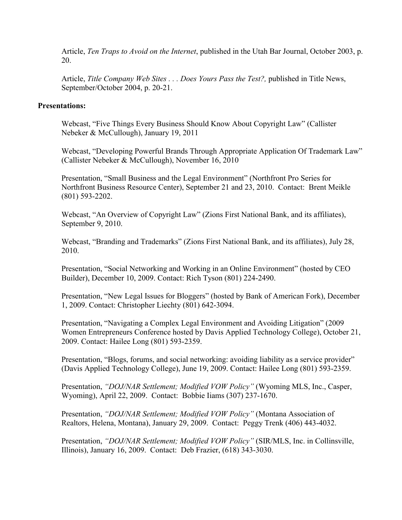Article, *Ten Traps to Avoid on the Internet*, published in the Utah Bar Journal, October 2003, p. 20.

Article, *Title Company Web Sites ... Does Yours Pass the Test?*, published in Title News, September/October 2004, p. 20-21.

### **Presentations:**

Webcast, "Five Things Every Business Should Know About Copyright Law" (Callister Nebeker & McCullough), January 19, 2011

Webcast, "Developing Powerful Brands Through Appropriate Application Of Trademark Law" (Callister Nebeker & McCullough), November 16, 2010

Presentation, "Small Business and the Legal Environment" (Northfront Pro Series for Northfront Business Resource Center), September 21 and 23, 2010. Contact: Brent Meikle (801) 593-2202.

Webcast, "An Overview of Copyright Law" (Zions First National Bank, and its affiliates), September 9, 2010.

Webcast, "Branding and Trademarks" (Zions First National Bank, and its affiliates), July 28, 2010.

Presentation, "Social Networking and Working in an Online Environment" (hosted by CEO Builder), December 10, 2009. Contact: Rich Tyson (801) 224-2490.

Presentation, "New Legal Issues for Bloggers" (hosted by Bank of American Fork), December 1, 2009. Contact: Christopher Liechty (801) 642-3094.

Presentation, "Navigating a Complex Legal Environment and Avoiding Litigation" (2009 Women Entrepreneurs Conference hosted by Davis Applied Technology College), October 21, 2009. Contact: Hailee Long (801) 593-2359.

Presentation, "Blogs, forums, and social networking: avoiding liability as a service provider" (Davis Applied Technology College), June 19, 2009. Contact: Hailee Long (801) 593-2359.

Presentation, *"DOJ/NAR Settlement; Modified VOW Policy"* (Wyoming MLS, Inc., Casper, Wyoming), April 22, 2009. Contact: Bobbie Iiams (307) 237-1670.

Presentation, *"DOJ/NAR Settlement; Modified VOW Policy"* (Montana Association of Realtors, Helena, Montana), January 29, 2009. Contact: Peggy Trenk (406) 443-4032.

Presentation, *"DOJ/NAR Settlement; Modified VOW Policy"* (SIR/MLS, Inc. in Collinsville, Illinois), January 16, 2009. Contact: Deb Frazier, (618) 343-3030.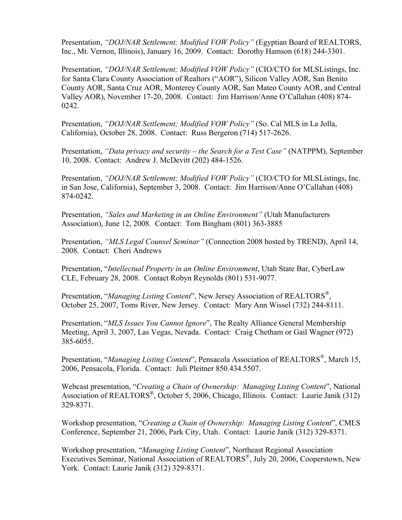Presentation, *"DOJ/NAR Settlement; Modified VOW Policy"* (Egyptian Board of REALTORS, Inc., Mt. Vernon, Illinois), January 16, 2009. Contact: Dorothy Hamson (618) 244-3301.

Presentation, *"DOJ/NAR Settlement; Modified VOW Policy"* (CIO/CTO for MLSListings, Inc. for Santa Clara County Association of Realtors ("AOR"), Silicon Valley AOR, San Benito County AOR, Santa Cruz AOR, Monterey County AOR, San Mateo County AOR, and Central Valley AOR), November 17-20, 2008. Contact: Jim Harrison/Anne O'Callahan (408) 874- 0242.

Presentation, *"DOJ/NAR Settlement; Modified VOW Policy"* (So. Cal MLS in La Jolla, California), October 28, 2008. Contact: Russ Bergeron (714) 517-2626.

Presentation, *"Data privacy and security – the Search for a Test Case"* (NATPPM), September 10, 2008. Contact: Andrew J. McDevitt (202) 484-1526.

Presentation, *"DOJ/NAR Settlement; Modified VOW Policy"* (CIO/CTO for MLSListings, Inc. in San Jose, California), September 3, 2008. Contact: Jim Harrison/Anne O'Callahan (408) 874-0242.

Presentation, *"Sales and Marketing in an Online Environment"* (Utah Manufacturers Association), June 12, 2008. Contact: Tom Bingham (801) 363-3885

Presentation, *"MLS Legal Counsel Seminar"* (Connection 2008 hosted by TREND), April 14, 2008. Contact: Cheri Andrews

Presentation, "*Intellectual Property in an Online Environment*, Utah State Bar, CyberLaw CLE, February 28, 2008. Contact Robyn Reynolds (801) 531-9077.

Presentation, "*Managing Listing Content*", New Jersey Association of REALTORS<sup>®</sup>, October 25, 2007, Toms River, New Jersey. Contact: Mary Ann Wissel (732) 244-8111.

Presentation, "*MLS Issues You Cannot Ignore*", The Realty Alliance General Membership Meeting, April 3, 2007, Las Vegas, Nevada. Contact: Craig Chetham or Gail Wagner (972) 385-6055.

Presentation, "*Managing Listing Content*", Pensacola Association of REALTORS<sup>®</sup>, March 15, 2006, Pensacola, Florida. Contact: Juli Pleitner 850.434.5507.

Webcast presentation, "*Creating a Chain of Ownership: Managing Listing Content*", National Association of REALTORS<sup>®</sup>, October 5, 2006, Chicago, Illinois. Contact: Laurie Janik (312) 329-8371.

Workshop presentation, "*Creating a Chain of Ownership: Managing Listing Content*", CMLS Conference, September 21, 2006, Park City, Utah. Contact: Laurie Janik (312) 329-8371.

Workshop presentation, "*Managing Listing Content*", Northeast Regional Association Executives Seminar, National Association of REALTORS®, July 20, 2006, Cooperstown, New York. Contact: Laurie Janik (312) 329-8371.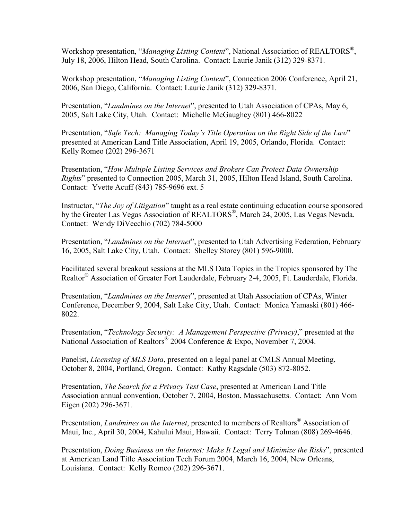Workshop presentation, "*Managing Listing Content*", National Association of REALTORS® , July 18, 2006, Hilton Head, South Carolina. Contact: Laurie Janik (312) 329-8371.

Workshop presentation, "*Managing Listing Content*", Connection 2006 Conference, April 21, 2006, San Diego, California. Contact: Laurie Janik (312) 329-8371.

Presentation, "*Landmines on the Internet*", presented to Utah Association of CPAs, May 6, 2005, Salt Lake City, Utah. Contact: Michelle McGaughey (801) 466-8022

Presentation, "*Safe Tech: Managing Today's Title Operation on the Right Side of the Law*" presented at American Land Title Association, April 19, 2005, Orlando, Florida. Contact: Kelly Romeo (202) 296-3671

Presentation, "*How Multiple Listing Services and Brokers Can Protect Data Ownership Rights*" presented to Connection 2005, March 31, 2005, Hilton Head Island, South Carolina. Contact: Yvette Acuff (843) 785-9696 ext. 5

Instructor, "*The Joy of Litigation*" taught as a real estate continuing education course sponsored by the Greater Las Vegas Association of REALTORS<sup>®</sup>, March 24, 2005, Las Vegas Nevada. Contact: Wendy DiVecchio (702) 784-5000

Presentation, "*Landmines on the Internet*", presented to Utah Advertising Federation, February 16, 2005, Salt Lake City, Utah. Contact: Shelley Storey (801) 596-9000.

Facilitated several breakout sessions at the MLS Data Topics in the Tropics sponsored by The Realtor® Association of Greater Fort Lauderdale, February 2-4, 2005, Ft. Lauderdale, Florida.

Presentation, "*Landmines on the Internet*", presented at Utah Association of CPAs, Winter Conference, December 9, 2004, Salt Lake City, Utah. Contact: Monica Yamaski (801) 466- 8022.

Presentation, "*Technology Security: A Management Perspective (Privacy)*," presented at the National Association of Realtors<sup>®</sup> 2004 Conference & Expo, November 7, 2004.

Panelist, *Licensing of MLS Data*, presented on a legal panel at CMLS Annual Meeting, October 8, 2004, Portland, Oregon. Contact: Kathy Ragsdale (503) 872-8052.

Presentation, *The Search for a Privacy Test Case*, presented at American Land Title Association annual convention, October 7, 2004, Boston, Massachusetts. Contact: Ann Vom Eigen (202) 296-3671.

Presentation, *Landmines on the Internet*, presented to members of Realtors® Association of Maui, Inc., April 30, 2004, Kahului Maui, Hawaii. Contact: Terry Tolman (808) 269-4646.

Presentation, *Doing Business on the Internet: Make It Legal and Minimize the Risks*", presented at American Land Title Association Tech Forum 2004, March 16, 2004, New Orleans, Louisiana. Contact: Kelly Romeo (202) 296-3671.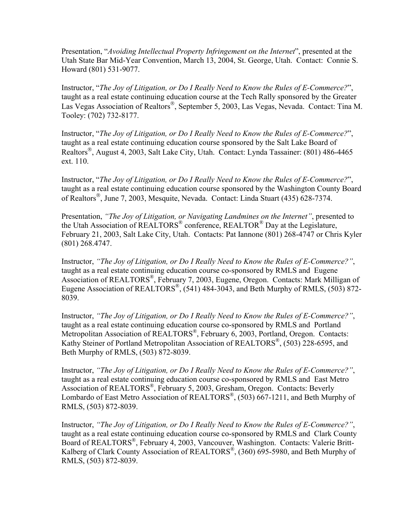Presentation, "*Avoiding Intellectual Property Infringement on the Internet*", presented at the Utah State Bar Mid-Year Convention, March 13, 2004, St. George, Utah. Contact: Connie S. Howard (801) 531-9077.

Instructor, "*The Joy of Litigation, or Do I Really Need to Know the Rules of E-Commerce?*", taught as a real estate continuing education course at the Tech Rally sponsored by the Greater Las Vegas Association of Realtors®, September 5, 2003, Las Vegas, Nevada. Contact: Tina M. Tooley: (702) 732-8177.

Instructor, "*The Joy of Litigation, or Do I Really Need to Know the Rules of E-Commerce?*", taught as a real estate continuing education course sponsored by the Salt Lake Board of Realtors<sup>®</sup>, August 4, 2003, Salt Lake City, Utah. Contact: Lynda Tassainer: (801) 486-4465 ext. 110.

Instructor, "*The Joy of Litigation, or Do I Really Need to Know the Rules of E-Commerce?*", taught as a real estate continuing education course sponsored by the Washington County Board of Realtors<sup>®</sup>, June 7, 2003, Mesquite, Nevada. Contact: Linda Stuart (435) 628-7374.

Presentation, *"The Joy of Litigation, or Navigating Landmines on the Internet"*, presented to the Utah Association of REALTORS® conference, REALTOR® Day at the Legislature, February 21, 2003, Salt Lake City, Utah. Contacts: Pat Iannone (801) 268-4747 or Chris Kyler (801) 268.4747.

Instructor, *"The Joy of Litigation, or Do I Really Need to Know the Rules of E-Commerce?"*, taught as a real estate continuing education course co-sponsored by RMLS and Eugene Association of REALTORS® , February 7, 2003, Eugene, Oregon. Contacts: Mark Milligan of Eugene Association of REALTORS<sup>®</sup>, (541) 484-3043, and Beth Murphy of RMLS, (503) 872-8039.

Instructor, *"The Joy of Litigation, or Do I Really Need to Know the Rules of E-Commerce?"*, taught as a real estate continuing education course co-sponsored by RMLS and Portland Metropolitan Association of REALTORS®, February 6, 2003, Portland, Oregon. Contacts: Kathy Steiner of Portland Metropolitan Association of REALTORS® , (503) 228-6595, and Beth Murphy of RMLS, (503) 872-8039.

Instructor, *"The Joy of Litigation, or Do I Really Need to Know the Rules of E-Commerce?"*, taught as a real estate continuing education course co-sponsored by RMLS and East Metro Association of REALTORS® , February 5, 2003, Gresham, Oregon. Contacts: Beverly Lombardo of East Metro Association of REALTORS<sup>®</sup>, (503) 667-1211, and Beth Murphy of RMLS, (503) 872-8039.

Instructor, *"The Joy of Litigation, or Do I Really Need to Know the Rules of E-Commerce?"*, taught as a real estate continuing education course co-sponsored by RMLS and Clark County Board of REALTORS® , February 4, 2003, Vancouver, Washington. Contacts: Valerie Britt-Kalberg of Clark County Association of REALTORS®, (360) 695-5980, and Beth Murphy of RMLS, (503) 872-8039.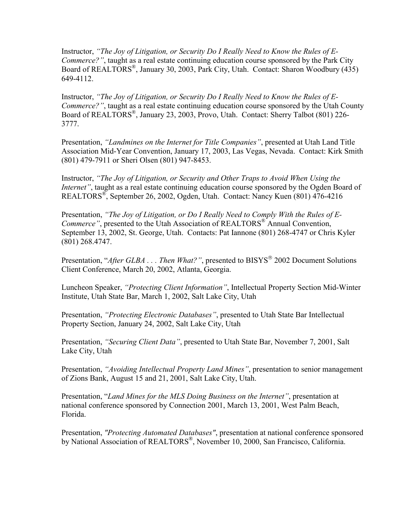Instructor, *"The Joy of Litigation, or Security Do I Really Need to Know the Rules of E-Commerce?"*, taught as a real estate continuing education course sponsored by the Park City Board of REALTORS® , January 30, 2003, Park City, Utah. Contact: Sharon Woodbury (435) 649-4112.

Instructor, *"The Joy of Litigation, or Security Do I Really Need to Know the Rules of E-Commerce?"*, taught as a real estate continuing education course sponsored by the Utah County Board of REALTORS<sup>®</sup>, January 23, 2003, Provo, Utah. Contact: Sherry Talbot (801) 226-3777.

Presentation, *"Landmines on the Internet for Title Companies"*, presented at Utah Land Title Association Mid-Year Convention, January 17, 2003, Las Vegas, Nevada. Contact: Kirk Smith (801) 479-7911 or Sheri Olsen (801) 947-8453.

Instructor, *"The Joy of Litigation, or Security and Other Traps to Avoid When Using the Internet"*, taught as a real estate continuing education course sponsored by the Ogden Board of REALTORS® , September 26, 2002, Ogden, Utah. Contact: Nancy Kuen (801) 476-4216

Presentation, *"The Joy of Litigation, or Do I Really Need to Comply With the Rules of E-Commerce"*, presented to the Utah Association of REALTORS® Annual Convention, September 13, 2002, St. George, Utah. Contacts: Pat Iannone (801) 268-4747 or Chris Kyler (801) 268.4747.

Presentation, "*After GLBA* . . . Then What?", presented to BISYS<sup>®</sup> 2002 Document Solutions Client Conference, March 20, 2002, Atlanta, Georgia.

Luncheon Speaker, *"Protecting Client Information"*, Intellectual Property Section Mid-Winter Institute, Utah State Bar, March 1, 2002, Salt Lake City, Utah

Presentation, *"Protecting Electronic Databases"*, presented to Utah State Bar Intellectual Property Section, January 24, 2002, Salt Lake City, Utah

Presentation, *"Securing Client Data"*, presented to Utah State Bar, November 7, 2001, Salt Lake City, Utah

Presentation, *"Avoiding Intellectual Property Land Mines"*, presentation to senior management of Zions Bank, August 15 and 21, 2001, Salt Lake City, Utah.

Presentation, "*Land Mines for the MLS Doing Business on the Internet"*, presentation at national conference sponsored by Connection 2001, March 13, 2001, West Palm Beach, Florida.

Presentation, *"Protecting Automated Databases"*, presentation at national conference sponsored by National Association of REALTORS®, November 10, 2000, San Francisco, California.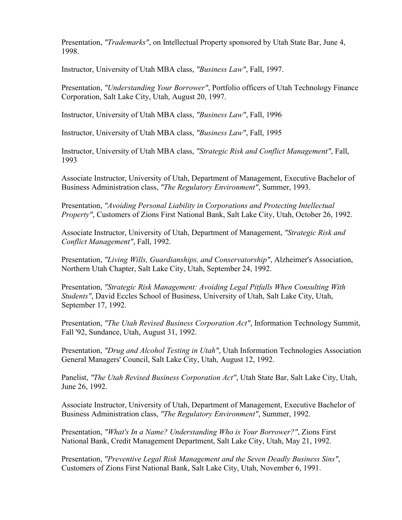Presentation, *"Trademarks"*, on Intellectual Property sponsored by Utah State Bar, June 4, 1998.

Instructor, University of Utah MBA class, *"Business Law"*, Fall, 1997.

Presentation, *"Understanding Your Borrower"*, Portfolio officers of Utah Technology Finance Corporation, Salt Lake City, Utah, August 20, 1997.

Instructor, University of Utah MBA class, *"Business Law"*, Fall, 1996

Instructor, University of Utah MBA class, *"Business Law"*, Fall, 1995

Instructor, University of Utah MBA class, *"Strategic Risk and Conflict Management"*, Fall, 1993

Associate Instructor, University of Utah, Department of Management, Executive Bachelor of Business Administration class, *"The Regulatory Environment"*, Summer, 1993.

Presentation, *"Avoiding Personal Liability in Corporations and Protecting Intellectual Property"*, Customers of Zions First National Bank, Salt Lake City, Utah, October 26, 1992.

Associate Instructor, University of Utah, Department of Management, *"Strategic Risk and Conflict Management"*, Fall, 1992.

Presentation, *"Living Wills, Guardianships, and Conservatorship"*, Alzheimer's Association, Northern Utah Chapter, Salt Lake City, Utah, September 24, 1992.

Presentation, *"Strategic Risk Management: Avoiding Legal Pitfalls When Consulting With Students"*, David Eccles School of Business, University of Utah, Salt Lake City, Utah, September 17, 1992.

Presentation, *"The Utah Revised Business Corporation Act"*, Information Technology Summit, Fall '92, Sundance, Utah, August 31, 1992.

Presentation, *"Drug and Alcohol Testing in Utah"*, Utah Information Technologies Association General Managers' Council, Salt Lake City, Utah, August 12, 1992.

Panelist, *"The Utah Revised Business Corporation Act"*, Utah State Bar, Salt Lake City, Utah, June 26, 1992.

Associate Instructor, University of Utah, Department of Management, Executive Bachelor of Business Administration class, *"The Regulatory Environment"*, Summer, 1992.

Presentation, *"What's In a Name? Understanding Who is Your Borrower?"*, Zions First National Bank, Credit Management Department, Salt Lake City, Utah, May 21, 1992.

Presentation, *"Preventive Legal Risk Management and the Seven Deadly Business Sins"*, Customers of Zions First National Bank, Salt Lake City, Utah, November 6, 1991.